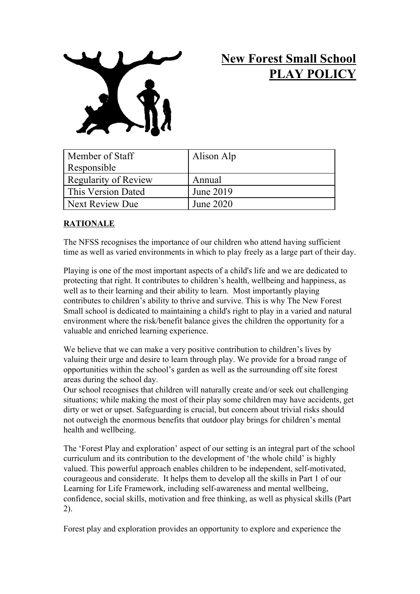

# **New Forest Small School PLAY POLICY**

| Member of Staff      | Alison Alp |
|----------------------|------------|
| Responsible          |            |
| Regularity of Review | Annual     |
| This Version Dated   | June 2019  |
| Next Review Due      | June 2020  |

# **RATIONALE**

The NFSS recognises the importance of our children who attend having sufficient time as well as varied environments in which to play freely as a large part of their day.

Playing is one of the most important aspects of a child's life and we are dedicated to protecting that right. It contributes to children's health, wellbeing and happiness, as well as to their learning and their ability to learn. Most importantly playing contributes to children's ability to thrive and survive. This is why The New Forest Small school is dedicated to maintaining a child's right to play in a varied and natural environment where the risk/benefit balance gives the children the opportunity for a valuable and enriched learning experience.

We believe that we can make a very positive contribution to children's lives by valuing their urge and desire to learn through play. We provide for a broad range of opportunities within the school's garden as well as the surrounding off site forest areas during the school day.

Our school recognises that children will naturally create and/or seek out challenging situations; while making the most of their play some children may have accidents, get dirty or wet or upset. Safeguarding is crucial, but concern about trivial risks should not outweigh the enormous benefits that outdoor play brings for children's mental health and wellbeing.

The 'Forest Play and exploration' aspect of our setting is an integral part of the school curriculum and its contribution to the development of 'the whole child' is highly valued. This powerful approach enables children to be independent, self-motivated, courageous and considerate. It helps them to develop all the skills in Part 1 of our Learning for Life Framework, including self-awareness and mental wellbeing, confidence, social skills, motivation and free thinking, as well as physical skills (Part 2).

Forest play and exploration provides an opportunity to explore and experience the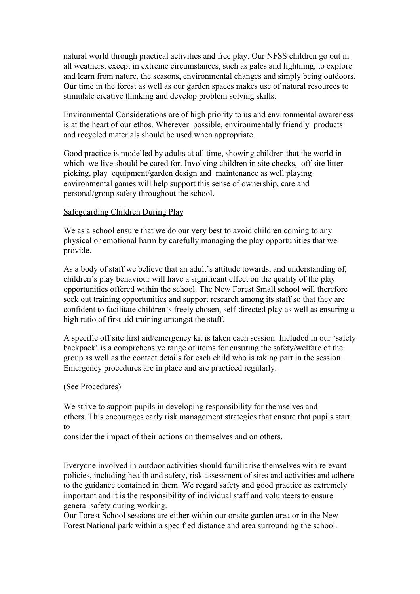natural world through practical activities and free play. Our NFSS children go out in all weathers, except in extreme circumstances, such as gales and lightning, to explore and learn from nature, the seasons, environmental changes and simply being outdoors. Our time in the forest as well as our garden spaces makes use of natural resources to stimulate creative thinking and develop problem solving skills.

Environmental Considerations are of high priority to us and environmental awareness is at the heart of our ethos. Wherever possible, environmentally friendly products and recycled materials should be used when appropriate.

Good practice is modelled by adults at all time, showing children that the world in which we live should be cared for. Involving children in site checks, off site litter picking, play equipment/garden design and maintenance as well playing environmental games will help support this sense of ownership, care and personal/group safety throughout the school.

#### Safeguarding Children During Play

We as a school ensure that we do our very best to avoid children coming to any physical or emotional harm by carefully managing the play opportunities that we provide.

As a body of staff we believe that an adult's attitude towards, and understanding of, children's play behaviour will have a significant effect on the quality of the play opportunities offered within the school. The New Forest Small school will therefore seek out training opportunities and support research among its staff so that they are confident to facilitate children's freely chosen, self-directed play as well as ensuring a high ratio of first aid training amongst the staff.

A specific off site first aid/emergency kit is taken each session. Included in our 'safety backpack' is a comprehensive range of items for ensuring the safety/welfare of the group as well as the contact details for each child who is taking part in the session. Emergency procedures are in place and are practiced regularly.

#### (See Procedures)

We strive to support pupils in developing responsibility for themselves and others. This encourages early risk management strategies that ensure that pupils start to

consider the impact of their actions on themselves and on others.

Everyone involved in outdoor activities should familiarise themselves with relevant policies, including health and safety, risk assessment of sites and activities and adhere to the guidance contained in them. We regard safety and good practice as extremely important and it is the responsibility of individual staff and volunteers to ensure general safety during working.

Our Forest School sessions are either within our onsite garden area or in the New Forest National park within a specified distance and area surrounding the school.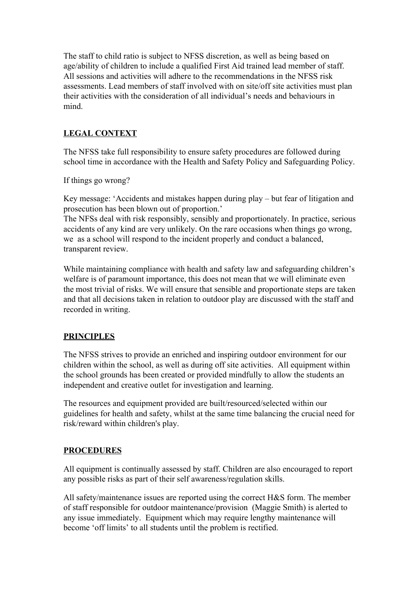The staff to child ratio is subject to NFSS discretion, as well as being based on age/ability of children to include a qualified First Aid trained lead member of staff. All sessions and activities will adhere to the recommendations in the NFSS risk assessments. Lead members of staff involved with on site/off site activities must plan their activities with the consideration of all individual's needs and behaviours in mind.

## **LEGAL CONTEXT**

The NFSS take full responsibility to ensure safety procedures are followed during school time in accordance with the Health and Safety Policy and Safeguarding Policy.

If things go wrong?

Key message: 'Accidents and mistakes happen during play – but fear of litigation and prosecution has been blown out of proportion.'

The NFSs deal with risk responsibly, sensibly and proportionately. In practice, serious accidents of any kind are very unlikely. On the rare occasions when things go wrong, we as a school will respond to the incident properly and conduct a balanced, transparent review.

While maintaining compliance with health and safety law and safeguarding children's welfare is of paramount importance, this does not mean that we will eliminate even the most trivial of risks. We will ensure that sensible and proportionate steps are taken and that all decisions taken in relation to outdoor play are discussed with the staff and recorded in writing.

## **PRINCIPLES**

The NFSS strives to provide an enriched and inspiring outdoor environment for our children within the school, as well as during off site activities. All equipment within the school grounds has been created or provided mindfully to allow the students an independent and creative outlet for investigation and learning.

The resources and equipment provided are built/resourced/selected within our guidelines for health and safety, whilst at the same time balancing the crucial need for risk/reward within children's play.

#### **PROCEDURES**

All equipment is continually assessed by staff. Children are also encouraged to report any possible risks as part of their self awareness/regulation skills.

All safety/maintenance issues are reported using the correct H&S form. The member of staff responsible for outdoor maintenance/provision (Maggie Smith) is alerted to any issue immediately. Equipment which may require lengthy maintenance will become 'off limits' to all students until the problem is rectified.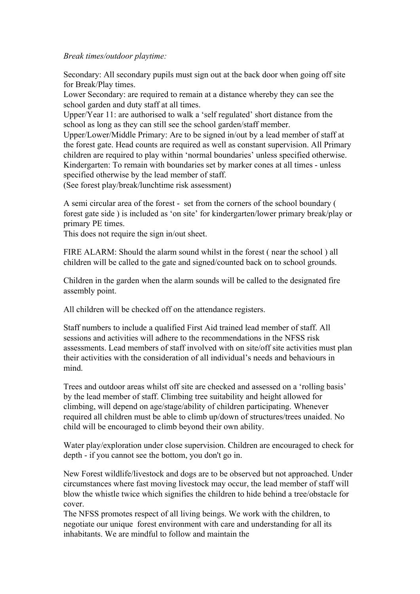#### *Break times/outdoor playtime:*

Secondary: All secondary pupils must sign out at the back door when going off site for Break/Play times.

Lower Secondary: are required to remain at a distance whereby they can see the school garden and duty staff at all times.

Upper/Year 11: are authorised to walk a 'self regulated' short distance from the school as long as they can still see the school garden/staff member.

Upper/Lower/Middle Primary: Are to be signed in/out by a lead member of staff at the forest gate. Head counts are required as well as constant supervision. All Primary children are required to play within 'normal boundaries' unless specified otherwise. Kindergarten: To remain with boundaries set by marker cones at all times - unless specified otherwise by the lead member of staff.

(See forest play/break/lunchtime risk assessment)

A semi circular area of the forest - set from the corners of the school boundary ( forest gate side ) is included as 'on site' for kindergarten/lower primary break/play or primary PE times.

This does not require the sign in/out sheet.

FIRE ALARM: Should the alarm sound whilst in the forest ( near the school ) all children will be called to the gate and signed/counted back on to school grounds.

Children in the garden when the alarm sounds will be called to the designated fire assembly point.

All children will be checked off on the attendance registers.

Staff numbers to include a qualified First Aid trained lead member of staff. All sessions and activities will adhere to the recommendations in the NFSS risk assessments. Lead members of staff involved with on site/off site activities must plan their activities with the consideration of all individual's needs and behaviours in mind.

Trees and outdoor areas whilst off site are checked and assessed on a 'rolling basis' by the lead member of staff. Climbing tree suitability and height allowed for climbing, will depend on age/stage/ability of children participating. Whenever required all children must be able to climb up/down of structures/trees unaided. No child will be encouraged to climb beyond their own ability.

Water play/exploration under close supervision. Children are encouraged to check for depth - if you cannot see the bottom, you don't go in.

New Forest wildlife/livestock and dogs are to be observed but not approached. Under circumstances where fast moving livestock may occur, the lead member of staff will blow the whistle twice which signifies the children to hide behind a tree/obstacle for cover.

The NFSS promotes respect of all living beings. We work with the children, to negotiate our unique forest environment with care and understanding for all its inhabitants. We are mindful to follow and maintain the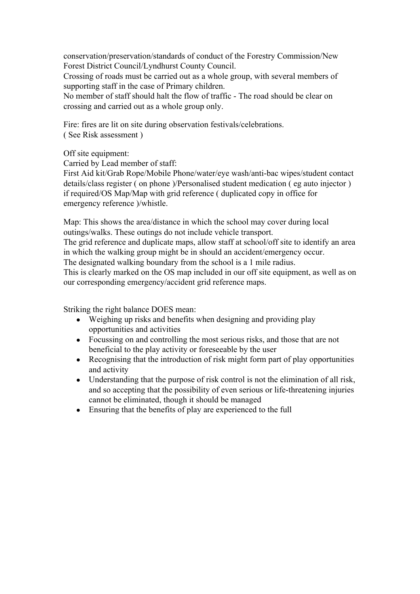conservation/preservation/standards of conduct of the Forestry Commission/New Forest District Council/Lyndhurst County Council.

Crossing of roads must be carried out as a whole group, with several members of supporting staff in the case of Primary children.

No member of staff should halt the flow of traffic - The road should be clear on crossing and carried out as a whole group only.

Fire: fires are lit on site during observation festivals/celebrations.

( See Risk assessment )

Off site equipment:

Carried by Lead member of staff:

First Aid kit/Grab Rope/Mobile Phone/water/eye wash/anti-bac wipes/student contact details/class register ( on phone )/Personalised student medication ( eg auto injector ) if required/OS Map/Map with grid reference ( duplicated copy in office for emergency reference )/whistle.

Map: This shows the area/distance in which the school may cover during local outings/walks. These outings do not include vehicle transport.

The grid reference and duplicate maps, allow staff at school/off site to identify an area in which the walking group might be in should an accident/emergency occur.

The designated walking boundary from the school is a 1 mile radius.

This is clearly marked on the OS map included in our off site equipment, as well as on our corresponding emergency/accident grid reference maps.

Striking the right balance DOES mean:

- Weighing up risks and benefits when designing and providing play opportunities and activities
- Focussing on and controlling the most serious risks, and those that are not beneficial to the play activity or foreseeable by the user
- Recognising that the introduction of risk might form part of play opportunities and activity
- Understanding that the purpose of risk control is not the elimination of all risk, and so accepting that the possibility of even serious or life-threatening injuries cannot be eliminated, though it should be managed
- Ensuring that the benefits of play are experienced to the full